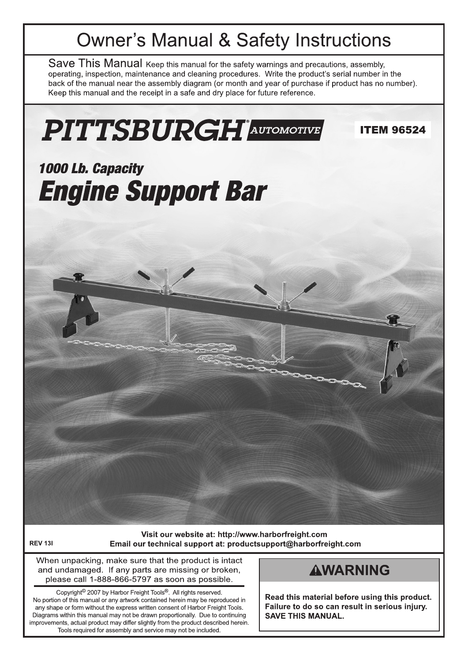# **Owner's Manual & Safety Instructions**

Save This Manual Keep this manual for the safety warnings and precautions, assembly, operating, inspection, maintenance and cleaning procedures. Write the product's serial number in the back of the manual near the assembly diagram (or month and year of purchase if product has no number). Keep this manual and the receipt in a safe and dry place for future reference.



**REV 131** 

Visit our website at: http://www.harborfreight.com Email our technical support at: productsupport@harborfreight.com

When unpacking, make sure that the product is intact and undamaged. If any parts are missing or broken, please call 1-888-866-5797 as soon as possible.

Copyright<sup>®</sup> 2007 by Harbor Freight Tools®. All rights reserved. No portion of this manual or any artwork contained herein may be reproduced in any shape or form without the express written consent of Harbor Freight Tools. Diagrams within this manual may not be drawn proportionally. Due to continuing improvements, actual product may differ slightly from the product described herein. Tools required for assembly and service may not be included.

# **AWARNING**

Read this material before using this product. Failure to do so can result in serious injury. **SAVE THIS MANUAL.**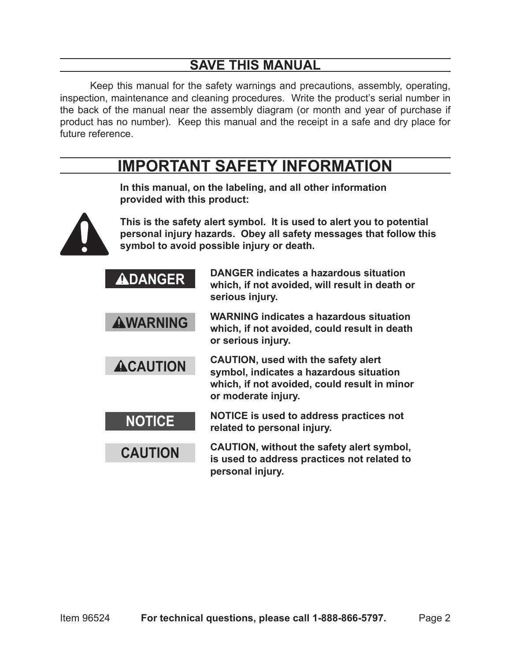# **SAVE THIS MANUAL**

Keep this manual for the safety warnings and precautions, assembly, operating, inspection, maintenance and cleaning procedures. Write the product's serial number in the back of the manual near the assembly diagram (or month and year of purchase if product has no number). Keep this manual and the receipt in a safe and dry place for future reference.

# **IMPORTANT SAFETY INFORMATION**



**In this manual, on the labeling, and all other information provided with this product:**

**This is the safety alert symbol. It is used to alert you to potential personal injury hazards. Obey all safety messages that follow this symbol to avoid possible injury or death.**

| <b>ADANGER</b>  | <b>DANGER indicates a hazardous situation</b><br>which, if not avoided, will result in death or<br>serious injury.                                           |
|-----------------|--------------------------------------------------------------------------------------------------------------------------------------------------------------|
| <b>AWARNING</b> | <b>WARNING indicates a hazardous situation</b><br>which, if not avoided, could result in death<br>or serious injury.                                         |
| <b>ACAUTION</b> | <b>CAUTION, used with the safety alert</b><br>symbol, indicates a hazardous situation<br>which, if not avoided, could result in minor<br>or moderate injury. |
| <b>NOTICE</b>   | NOTICE is used to address practices not<br>related to personal injury.                                                                                       |
| <b>CAUTION</b>  | CAUTION, without the safety alert symbol,<br>is used to address practices not related to<br>personal injury.                                                 |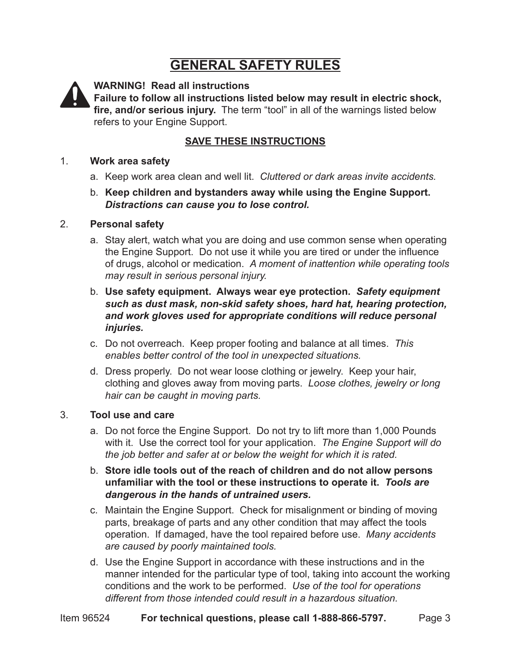# **GENERAL SAFETY RULES**



**WARNING! Read all instructions**

**Failure to follow all instructions listed below may result in electric shock, fire, and/or serious injury.** The term "tool" in all of the warnings listed below refers to your Engine Support.

#### **SAVE THESE INSTRUCTIONS**

#### 1. **Work area safety**

- a. Keep work area clean and well lit. *Cluttered or dark areas invite accidents.*
- b. **Keep children and bystanders away while using the Engine Support.**  *Distractions can cause you to lose control.*

#### 2. **Personal safety**

- a. Stay alert, watch what you are doing and use common sense when operating the Engine Support. Do not use it while you are tired or under the influence of drugs, alcohol or medication. *A moment of inattention while operating tools may result in serious personal injury.*
- b. **Use safety equipment. Always wear eye protection.** *Safety equipment such as dust mask, non-skid safety shoes, hard hat, hearing protection, and work gloves used for appropriate conditions will reduce personal injuries.*
- c. Do not overreach. Keep proper footing and balance at all times. *This enables better control of the tool in unexpected situations.*
- d. Dress properly. Do not wear loose clothing or jewelry. Keep your hair, clothing and gloves away from moving parts. *Loose clothes, jewelry or long hair can be caught in moving parts.*

#### 3. **Tool use and care**

- a. Do not force the Engine Support. Do not try to lift more than 1,000 Pounds with it. Use the correct tool for your application. *The Engine Support will do the job better and safer at or below the weight for which it is rated.*
- b. **Store idle tools out of the reach of children and do not allow persons unfamiliar with the tool or these instructions to operate it.** *Tools are dangerous in the hands of untrained users.*
- c. Maintain the Engine Support. Check for misalignment or binding of moving parts, breakage of parts and any other condition that may affect the tools operation. If damaged, have the tool repaired before use. *Many accidents are caused by poorly maintained tools.*
- d. Use the Engine Support in accordance with these instructions and in the manner intended for the particular type of tool, taking into account the working conditions and the work to be performed. *Use of the tool for operations different from those intended could result in a hazardous situation.*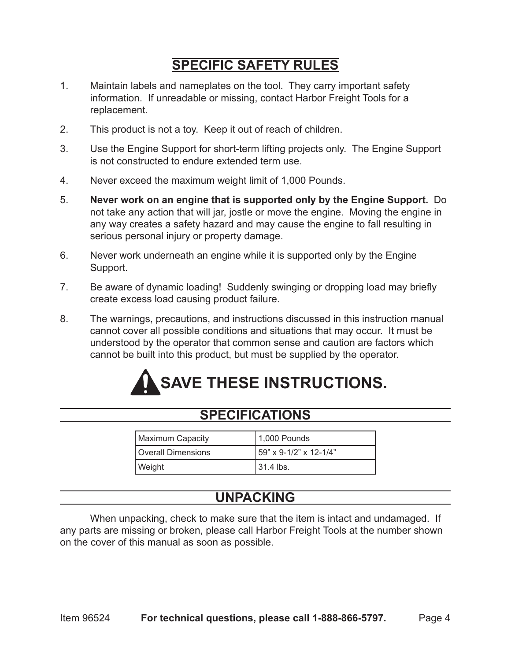# **SPECIFIC SAFETY RULES**

- 1. Maintain labels and nameplates on the tool. They carry important safety information. If unreadable or missing, contact Harbor Freight Tools for a replacement.
- 2. This product is not a toy. Keep it out of reach of children.
- 3. Use the Engine Support for short-term lifting projects only. The Engine Support is not constructed to endure extended term use.
- 4. Never exceed the maximum weight limit of 1,000 Pounds.
- 5. **Never work on an engine that is supported only by the Engine Support.** Do not take any action that will jar, jostle or move the engine. Moving the engine in any way creates a safety hazard and may cause the engine to fall resulting in serious personal injury or property damage.
- 6. Never work underneath an engine while it is supported only by the Engine Support.
- 7. Be aware of dynamic loading! Suddenly swinging or dropping load may briefly create excess load causing product failure.
- 8. The warnings, precautions, and instructions discussed in this instruction manual cannot cover all possible conditions and situations that may occur. It must be understood by the operator that common sense and caution are factors which cannot be built into this product, but must be supplied by the operator.

# **SAVE THESE INSTRUCTIONS.**

## **SPECIFICATIONS**

| Maximum Capacity   | $ 1,000$ Pounds        |
|--------------------|------------------------|
| Overall Dimensions | 59" x 9-1/2" x 12-1/4" |
| Weight             | $131.4$ lbs.           |

# **UNPACKING**

When unpacking, check to make sure that the item is intact and undamaged. If any parts are missing or broken, please call Harbor Freight Tools at the number shown on the cover of this manual as soon as possible.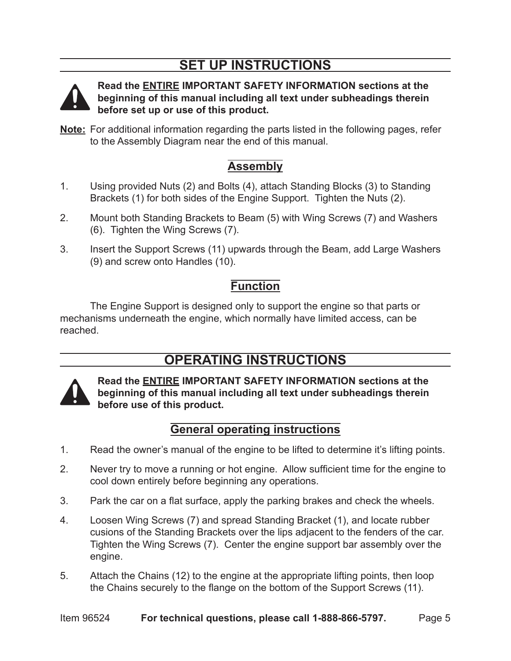# **SET UP INSTRUCTIONS**



**Read the ENTIRE IMPORTANT SAFETY INFORMATION sections at the beginning of this manual including all text under subheadings therein before set up or use of this product.**

**Note:** For additional information regarding the parts listed in the following pages, refer to the Assembly Diagram near the end of this manual.

## **Assembly**

- 1. Using provided Nuts (2) and Bolts (4), attach Standing Blocks (3) to Standing Brackets (1) for both sides of the Engine Support. Tighten the Nuts (2).
- 2. Mount both Standing Brackets to Beam (5) with Wing Screws (7) and Washers (6). Tighten the Wing Screws (7).
- 3. Insert the Support Screws (11) upwards through the Beam, add Large Washers (9) and screw onto Handles (10).

## **Function**

The Engine Support is designed only to support the engine so that parts or mechanisms underneath the engine, which normally have limited access, can be reached.

# **OPERATING INSTRUCTIONS**



**Read the ENTIRE IMPORTANT SAFETY INFORMATION sections at the beginning of this manual including all text under subheadings therein before use of this product.**

## **General operating instructions**

- 1. Read the owner's manual of the engine to be lifted to determine it's lifting points.
- 2. Never try to move a running or hot engine. Allow sufficient time for the engine to cool down entirely before beginning any operations.
- 3. Park the car on a flat surface, apply the parking brakes and check the wheels.
- 4. Loosen Wing Screws (7) and spread Standing Bracket (1), and locate rubber cusions of the Standing Brackets over the lips adjacent to the fenders of the car. Tighten the Wing Screws (7). Center the engine support bar assembly over the engine.
- 5. Attach the Chains (12) to the engine at the appropriate lifting points, then loop the Chains securely to the flange on the bottom of the Support Screws (11).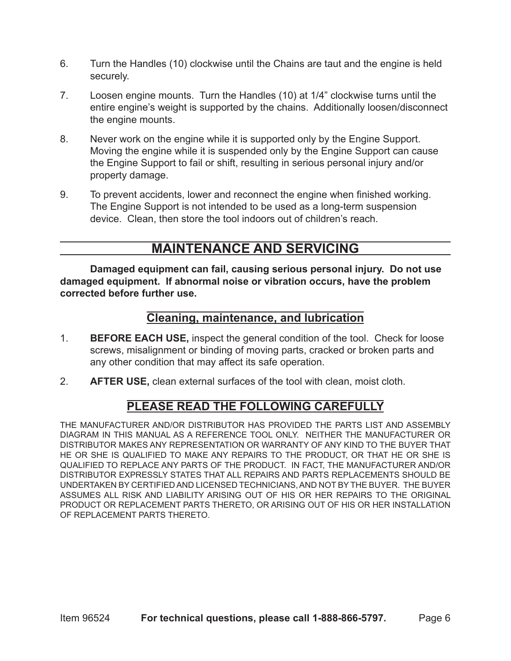- 6. Turn the Handles (10) clockwise until the Chains are taut and the engine is held securely.
- 7. Loosen engine mounts. Turn the Handles (10) at 1/4" clockwise turns until the entire engine's weight is supported by the chains. Additionally loosen/disconnect the engine mounts.
- 8. Never work on the engine while it is supported only by the Engine Support. Moving the engine while it is suspended only by the Engine Support can cause the Engine Support to fail or shift, resulting in serious personal injury and/or property damage.
- 9. To prevent accidents, lower and reconnect the engine when finished working. The Engine Support is not intended to be used as a long-term suspension device. Clean, then store the tool indoors out of children's reach.

## **MAINTENANCE AND SERVICING**

**Damaged equipment can fail, causing serious personal injury. Do not use damaged equipment. If abnormal noise or vibration occurs, have the problem corrected before further use.**

### **Cleaning, maintenance, and lubrication**

- 1. **BEFORE EACH USE,** inspect the general condition of the tool. Check for loose screws, misalignment or binding of moving parts, cracked or broken parts and any other condition that may affect its safe operation.
- 2. **AFTER USE,** clean external surfaces of the tool with clean, moist cloth.

### **PLEASE READ THE FOLLOWING CAREFULLY**

THE MANUFACTURER AND/OR DISTRIBUTOR HAS PROVIDED THE PARTS LIST AND ASSEMBLY DIAGRAM IN THIS MANUAL AS A REFERENCE TOOL ONLY. NEITHER THE MANUFACTURER OR DISTRIBUTOR MAKES ANY REPRESENTATION OR WARRANTY OF ANY KIND TO THE BUYER THAT HE OR SHE IS QUALIFIED TO MAKE ANY REPAIRS TO THE PRODUCT, OR THAT HE OR SHE IS QUALIFIED TO REPLACE ANY PARTS OF THE PRODUCT. IN FACT, THE MANUFACTURER AND/OR DISTRIBUTOR EXPRESSLY STATES THAT ALL REPAIRS AND PARTS REPLACEMENTS SHOULD BE UNDERTAKEN BY CERTIFIED AND LICENSED TECHNICIANS, AND NOT BY THE BUYER. THE BUYER ASSUMES ALL RISK AND LIABILITY ARISING OUT OF HIS OR HER REPAIRS TO THE ORIGINAL PRODUCT OR REPLACEMENT PARTS THERETO, OR ARISING OUT OF HIS OR HER INSTALLATION OF REPLACEMENT PARTS THERETO.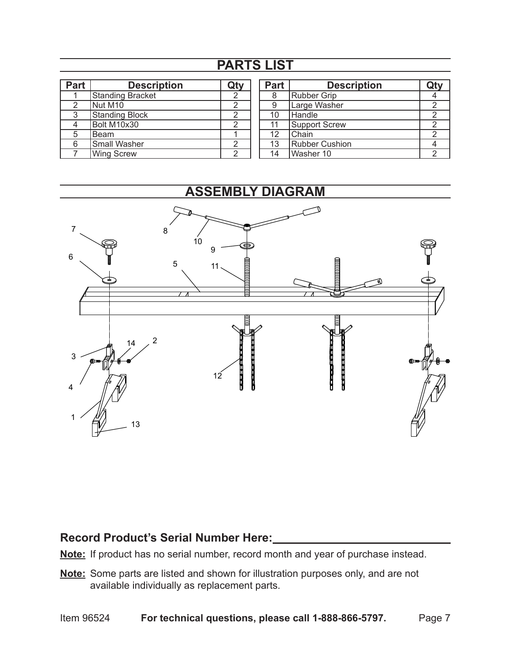# **PARTS LIST**

| <b>Part</b> | <b>Description</b>    |  |
|-------------|-----------------------|--|
|             | Standing Bracket      |  |
|             | Nut M <sub>10</sub>   |  |
| 3           | <b>Standing Block</b> |  |
|             | Bolt M10x30           |  |
|             | <b>Beam</b>           |  |
| 6           | Small Washer          |  |
|             | <b>Wing Screw</b>     |  |

| Part              | <b>Description</b>    |  |
|-------------------|-----------------------|--|
| 8                 | Rubber Grip           |  |
| 9                 | Large Washer          |  |
| 10                | Handle                |  |
| 11                | <b>Support Screw</b>  |  |
| $12 \overline{ }$ | Chain                 |  |
| 13                | <b>Rubber Cushion</b> |  |
| 14                | Washer 10             |  |



### **Record Product's Serial Number Here:**

- **Note:** If product has no serial number, record month and year of purchase instead.
- **Note:** Some parts are listed and shown for illustration purposes only, and are not available individually as replacement parts.